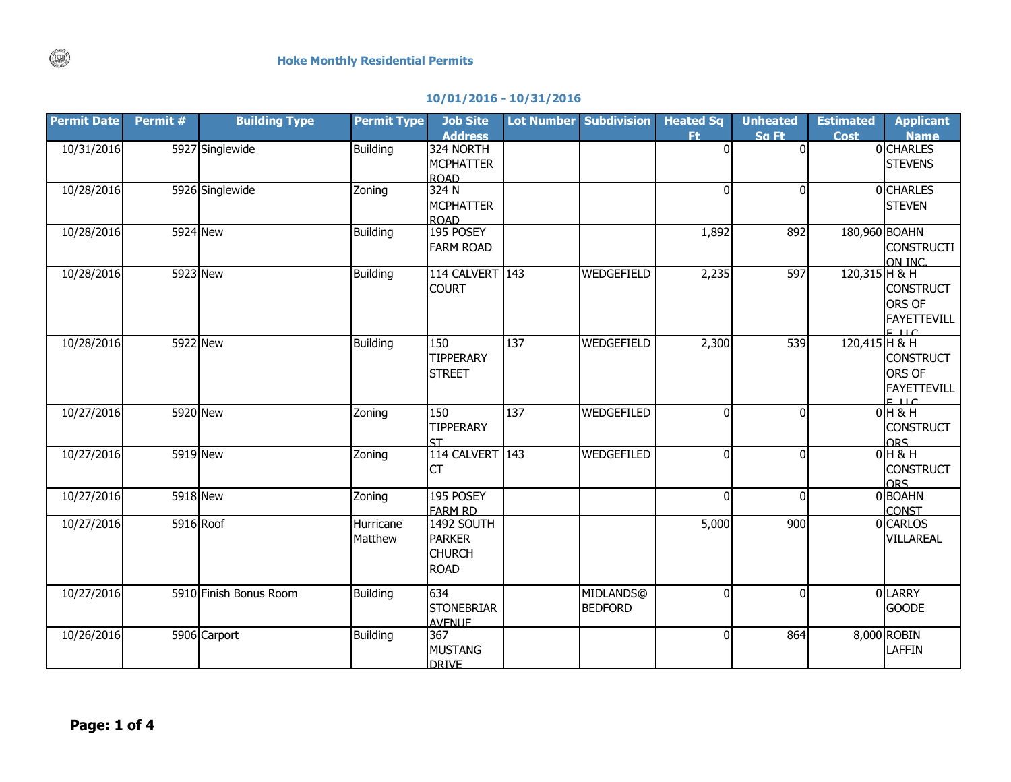|  |  | 10/01/2016 - 10/31/2016 |  |
|--|--|-------------------------|--|
|--|--|-------------------------|--|

| <b>Permit Date</b> | Permit # | <b>Building Type</b>   | <b>Permit Type</b>   | <b>Job Site</b><br><b>Address</b>                                  |     | <b>Lot Number Subdivision</b> | <b>Heated Sq</b><br>Ft | <b>Unheated</b><br>Sa Ft | <b>Estimated</b><br><b>Cost</b> | <b>Applicant</b><br><b>Name</b>                         |
|--------------------|----------|------------------------|----------------------|--------------------------------------------------------------------|-----|-------------------------------|------------------------|--------------------------|---------------------------------|---------------------------------------------------------|
| 10/31/2016         |          | 5927 Singlewide        | <b>Building</b>      | 324 NORTH<br><b>MCPHATTER</b><br><b>ROAD</b>                       |     |                               | $\mathbf 0$            | $\mathbf 0$              |                                 | 0 CHARLES<br><b>STEVENS</b>                             |
| 10/28/2016         |          | 5926 Singlewide        | Zoning               | 324N<br><b>MCPHATTER</b><br><b>ROAD</b>                            |     |                               | $\mathbf{0}$           | $\mathbf{0}$             |                                 | <b>OCHARLES</b><br><b>STEVEN</b>                        |
| 10/28/2016         | 5924 New |                        | <b>Building</b>      | 195 POSEY<br><b>FARM ROAD</b>                                      |     |                               | 1,892                  | 892                      | 180,960 BOAHN                   | <b>CONSTRUCTI</b><br>ON INC.                            |
| 10/28/2016         | 5923 New |                        | <b>Building</b>      | 114 CALVERT<br><b>COURT</b>                                        | 143 | <b>WEDGEFIELD</b>             | 2,235                  | 597                      | $120,315$ H & H                 | <b>CONSTRUCT</b><br>ORS OF<br>FAYETTEVILL<br>E          |
| 10/28/2016         | 5922 New |                        | <b>Building</b>      | 150<br><b>TIPPERARY</b><br><b>STREET</b>                           | 137 | WEDGEFIELD                    | 2,300                  | 539                      | 120,415 H & H                   | <b>CONSTRUCT</b><br>ORS OF<br>FAYETTEVILL<br>$E \cup C$ |
| 10/27/2016         | 5920 New |                        | Zoning               | 150<br><b>TIPPERARY</b><br>ςт                                      | 137 | WEDGEFILED                    | $\mathbf 0$            | $\Omega$                 |                                 | $0H$ & H<br><b>CONSTRUCT</b><br>ORS.                    |
| 10/27/2016         |          | 5919 New               | Zoning               | 114 CALVERT<br><b>CT</b>                                           | 143 | <b>WEDGEFILED</b>             | $\mathbf 0$            | $\mathbf{0}$             |                                 | $0H$ & H<br><b>CONSTRUCT</b><br><b>ORS</b>              |
| 10/27/2016         |          | 5918 New               | Zoning               | 195 POSEY<br><b>FARM RD</b>                                        |     |                               | $\mathbf{0}$           | $\Omega$                 |                                 | 0 BOAHN<br><b>CONST</b>                                 |
| 10/27/2016         |          | 5916 Roof              | Hurricane<br>Matthew | <b>1492 SOUTH</b><br><b>PARKER</b><br><b>CHURCH</b><br><b>ROAD</b> |     |                               | 5,000                  | 900                      |                                 | 0 CARLOS<br>VILLAREAL                                   |
| 10/27/2016         |          | 5910 Finish Bonus Room | Building             | 634<br><b>STONEBRIAR</b><br><b>AVENUE</b>                          |     | MIDLANDS@<br><b>BEDFORD</b>   | $\mathbf{0}$           | $\Omega$                 |                                 | 0 LARRY<br><b>GOODE</b>                                 |
| 10/26/2016         |          | 5906 Carport           | <b>Building</b>      | 367<br><b>MUSTANG</b><br><b>DRIVE</b>                              |     |                               | $\overline{0}$         | 864                      |                                 | 8,000 ROBIN<br><b>LAFFIN</b>                            |

 $\binom{1}{k}$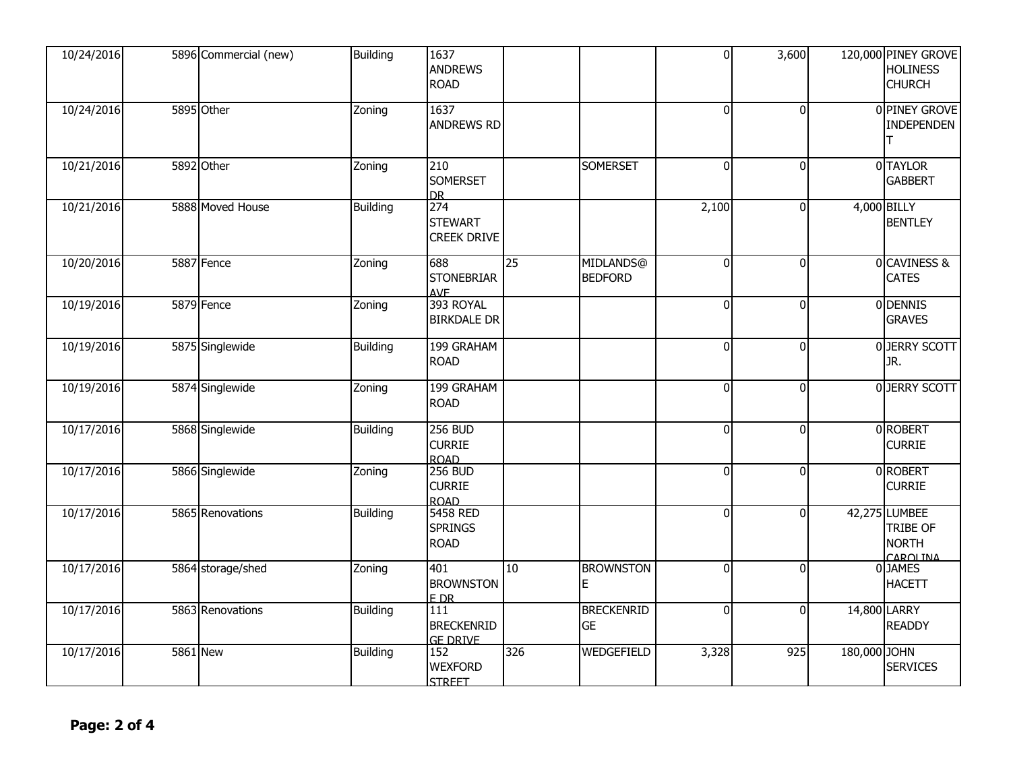| 10/24/2016 | 5896 Commercial (new) | Building        | 1637<br><b>ANDREWS</b><br><b>ROAD</b>          |     |                                | $\overline{0}$ | 3,600          |              | 120,000 PINEY GROVE<br><b>HOLINESS</b><br><b>CHURCH</b>      |
|------------|-----------------------|-----------------|------------------------------------------------|-----|--------------------------------|----------------|----------------|--------------|--------------------------------------------------------------|
| 10/24/2016 | 5895 Other            | Zoning          | 1637<br><b>ANDREWS RD</b>                      |     |                                | $\overline{0}$ | $\Omega$       |              | 0 PINEY GROVE<br><b>INDEPENDEN</b><br>ΙT                     |
| 10/21/2016 | 5892 Other            | Zoning          | 210<br><b>SOMERSET</b><br>D <sub>R</sub>       |     | <b>SOMERSET</b>                | $\overline{0}$ | $\mathbf 0$    |              | 0 TAYLOR<br><b>GABBERT</b>                                   |
| 10/21/2016 | 5888 Moved House      | <b>Building</b> | 274<br><b>STEWART</b><br><b>CREEK DRIVE</b>    |     |                                | 2,100          | $\mathbf{0}$   |              | 4,000 BILLY<br><b>BENTLEY</b>                                |
| 10/20/2016 | 5887 Fence            | Zoning          | 688<br><b>STONEBRIAR</b><br><b>AVF</b>         | 25  | MIDLANDS@<br><b>BEDFORD</b>    | $\overline{0}$ | $\mathbf{0}$   |              | 0 CAVINESS &<br><b>CATES</b>                                 |
| 10/19/2016 | 5879 Fence            | Zoning          | 393 ROYAL<br><b>BIRKDALE DR</b>                |     |                                | $\overline{0}$ | $\mathbf{0}$   |              | 0 DENNIS<br><b>GRAVES</b>                                    |
| 10/19/2016 | 5875 Singlewide       | <b>Building</b> | 199 GRAHAM<br><b>ROAD</b>                      |     |                                | $\overline{0}$ | $\overline{0}$ |              | 0 JERRY SCOTT<br>JR.                                         |
| 10/19/2016 | 5874 Singlewide       | Zoning          | 199 GRAHAM<br><b>ROAD</b>                      |     |                                | $\overline{0}$ | $\mathbf{0}$   |              | 0 JERRY SCOTT                                                |
| 10/17/2016 | 5868 Singlewide       | <b>Building</b> | <b>256 BUD</b><br><b>CURRIE</b><br><b>ROAD</b> |     |                                | $\overline{0}$ | $\Omega$       |              | 0 ROBERT<br><b>CURRIE</b>                                    |
| 10/17/2016 | 5866 Singlewide       | Zoning          | <b>256 BUD</b><br><b>CURRIE</b><br>ROAD        |     |                                | $\overline{0}$ | $\Omega$       |              | 0 ROBERT<br><b>CURRIE</b>                                    |
| 10/17/2016 | 5865 Renovations      | Building        | 5458 RED<br><b>SPRINGS</b><br><b>ROAD</b>      |     |                                | $\overline{0}$ | $\mathbf{0}$   |              | 42,275 LUMBEE<br><b>TRIBE OF</b><br><b>NORTH</b><br>CAROLINA |
| 10/17/2016 | 5864 storage/shed     | Zoning          | 401<br><b>BROWNSTON</b><br>FDR                 | 10  | <b>BROWNSTON</b><br>Е          | $\overline{0}$ | $\Omega$       |              | 0 JAMES<br><b>HACETT</b>                                     |
| 10/17/2016 | 5863 Renovations      | <b>Building</b> | 111<br><b>BRECKENRID</b><br><b>GE DRIVE</b>    |     | <b>BRECKENRID</b><br><b>GE</b> | $\overline{0}$ | $\mathbf 0$    |              | 14,800 LARRY<br><b>READDY</b>                                |
| 10/17/2016 | <b>5861 New</b>       | Building        | 152<br><b>WEXFORD</b><br><b>STREET</b>         | 326 | <b>WEDGEFIELD</b>              | 3,328          | 925            | 180,000 JOHN | <b>SERVICES</b>                                              |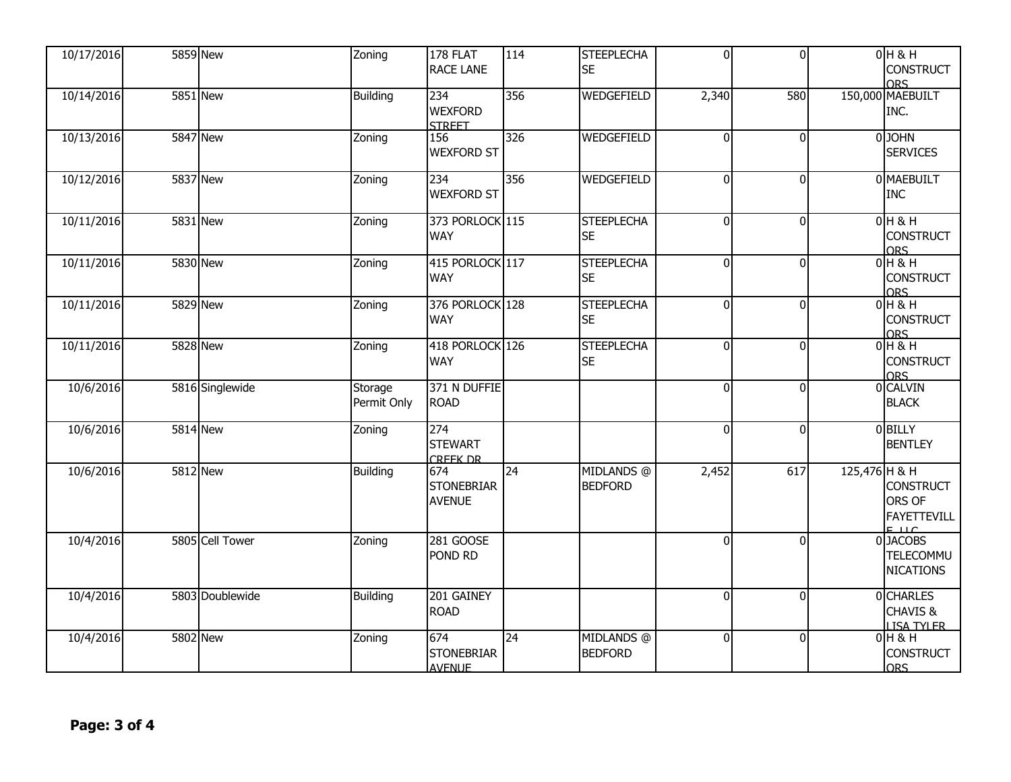| 10/17/2016 | <b>5859 New</b> | Zoning                 | 178 FLAT<br><b>RACE LANE</b>              | 114              | <b>STEEPLECHA</b><br><b>SE</b> | 0              | $\Omega$       |               | $0H$ & H<br><b>CONSTRUCT</b><br><b>ORS</b>                                                       |
|------------|-----------------|------------------------|-------------------------------------------|------------------|--------------------------------|----------------|----------------|---------------|--------------------------------------------------------------------------------------------------|
| 10/14/2016 | <b>5851 New</b> | <b>Building</b>        | 234<br><b>WEXFORD</b><br><b>STREET</b>    | 356              | WEDGEFIELD                     | 2,340          | 580            |               | 150,000 MAEBUILT<br>INC.                                                                         |
| 10/13/2016 | 5847 New        | Zoning                 | 156<br><b>WEXFORD ST</b>                  | $\overline{326}$ | WEDGEFIELD                     | $\overline{0}$ | $\Omega$       |               | 0JOHN<br><b>SERVICES</b>                                                                         |
| 10/12/2016 | 5837 New        | Zoning                 | 234<br><b>WEXFORD ST</b>                  | 356              | <b>WEDGEFIELD</b>              | $\overline{0}$ | $\overline{0}$ |               | 0 MAEBUILT<br><b>INC</b>                                                                         |
| 10/11/2016 | 5831 New        | Zoning                 | 373 PORLOCK 115<br><b>WAY</b>             |                  | <b>STEEPLECHA</b><br><b>SE</b> | $\overline{0}$ | $\overline{0}$ |               | $0H$ & H<br><b>CONSTRUCT</b><br><b>ORS</b>                                                       |
| 10/11/2016 | 5830 New        | Zoning                 | 415 PORLOCK 117<br><b>WAY</b>             |                  | <b>STEEPLECHA</b><br><b>SE</b> | $\overline{0}$ | $\Omega$       |               | $0H$ & H<br><b>CONSTRUCT</b><br><b>ORS</b>                                                       |
| 10/11/2016 | 5829 New        | Zoning                 | 376 PORLOCK 128<br><b>WAY</b>             |                  | <b>STEEPLECHA</b><br><b>SE</b> | $\overline{0}$ | $\Omega$       |               | 0H8H<br><b>CONSTRUCT</b><br>ORS.                                                                 |
| 10/11/2016 | 5828 New        | Zoning                 | 418 PORLOCK 126<br><b>WAY</b>             |                  | <b>STEEPLECHA</b><br><b>SE</b> | $\overline{0}$ | $\overline{0}$ |               | $0H$ & H<br><b>CONSTRUCT</b><br>ORS                                                              |
| 10/6/2016  | 5816 Singlewide | Storage<br>Permit Only | 371 N DUFFIE<br><b>ROAD</b>               |                  |                                | $\overline{0}$ | $\Omega$       |               | 0 CALVIN<br><b>BLACK</b>                                                                         |
| 10/6/2016  | <b>5814</b> New | Zoning                 | 274<br><b>STEWART</b><br><b>CREEK DR</b>  |                  |                                | $\mathbf 0$    | $\Omega$       |               | 0 BILLY<br><b>BENTLEY</b>                                                                        |
| 10/6/2016  | 5812 New        | <b>Building</b>        | 674<br><b>STONEBRIAR</b><br><b>AVENUE</b> | 24               | MIDLANDS @<br><b>BEDFORD</b>   | 2,452          | 617            | 125,476 H & H | <b>CONSTRUCT</b><br>ORS OF<br><b>FAYETTEVILL</b>                                                 |
| 10/4/2016  | 5805 Cell Tower | Zoning                 | 281 GOOSE<br>POND RD                      |                  |                                | $\mathbf 0$    | $\Omega$       |               | $\begin{array}{c}\n 6 \\ \hline\n 0 \end{array}$ DJACOBS<br><b>TELECOMMU</b><br><b>NICATIONS</b> |
| 10/4/2016  | 5803 Doublewide | <b>Building</b>        | 201 GAINEY<br><b>ROAD</b>                 |                  |                                | $\overline{0}$ | $\overline{0}$ |               | 0 CHARLES<br>CHAVIS &<br><b>LISA TYLER</b>                                                       |
| 10/4/2016  | 5802 New        | Zoning                 | 674<br><b>STONEBRIAR</b><br><b>AVENUE</b> | $\overline{24}$  | MIDLANDS @<br><b>BEDFORD</b>   | $\overline{0}$ | $\Omega$       |               | $0H$ & H<br><b>CONSTRUCT</b><br><b>ORS</b>                                                       |